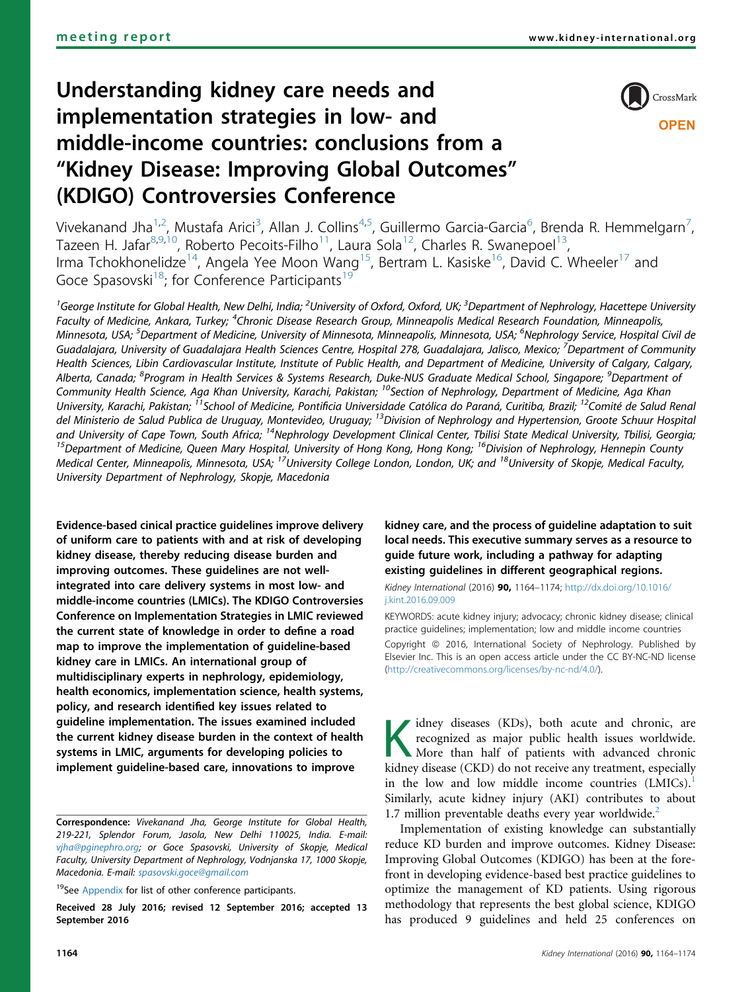# Understanding kidney care needs and implementation strategies in low- and middle-income countries: conclusions from a "Kidney Disease: Improving Global Outcomes" (KDIGO) Controversies Conference



Vivekanand Jha<sup>1,2</sup>, Mustafa Arici<sup>3</sup>, Allan J. Collins<sup>4,5</sup>, Guillermo Garcia-Garcia<sup>6</sup>, Brenda R. Hemmelgarn<sup>7</sup> , Tazeen H. Jafar $8,9,10$ , Roberto Pecoits-Filho<sup>11</sup>, Laura Sola<sup>12</sup>, Charles R. Swanepoel<sup>13</sup>, Irma Tchokhonelidze<sup>14</sup>, Angela Yee Moon Wang<sup>15</sup>, Bertram L. Kasiske<sup>16</sup>, David C. Wheeler<sup>17</sup> and Goce Spasovski<sup>18</sup>; for Conference Participants<sup>19</sup>

 $^1$ George Institute for Global Health, New Delhi, India;  $^2$ University of Oxford, Oxford, UK;  $^3$ Department of Nephrology, Hacettepe University Faculty of Medicine, Ankara, Turkey; <sup>4</sup>Chronic Disease Research Group, Minneapolis Medical Research Foundation, Minneapolis, Minnesota, USA; <sup>5</sup>Department of Medicine, University of Minnesota, Minneapolis, Minnesota, USA; <sup>6</sup>Nephrology Service, Hospital Civil de Guadalajara, University of Guadalajara Health Sciences Centre, Hospital 278, Guadalajara, Jalisco, Mexico; <sup>7</sup>Department of Community Health Sciences, Libin Cardiovascular Institute, Institute of Public Health, and Department of Medicine, University of Calgary, Calgary, Alberta, Canada; <sup>8</sup>Program in Health Services & Systems Research, Duke-NUS Graduate Medical School, Singapore; <sup>9</sup>Department of Community Health Science, Aga Khan University, Karachi, Pakistan; <sup>10</sup>Section of Nephrology, Department of Medicine, Aga Khan University, Karachi, Pakistan; <sup>11</sup>School of Medicine, Pontificia Universidade Católica do Paraná, Curitiba, Brazil; <sup>12</sup>Comité de Salud Renal del Ministerio de Salud Publica de Uruguay, Montevideo, Uruguay; <sup>13</sup>Division of Nephrology and Hypertension, Groote Schuur Hospital and University of Cape Town, South Africa; <sup>14</sup>Nephrology Development Clinical Center, Tbilisi State Medical University, Tbilisi, Georgia;<br><sup>15</sup>Department of Medicine, Queen Mary Hospital, University of Hong Kong, Hong Kong Medical Center, Minneapolis, Minnesota, USA; <sup>17</sup>University College London, London, UK; and <sup>18</sup>University of Skopje, Medical Faculty, University Department of Nephrology, Skopje, Macedonia

Evidence-based cinical practice guidelines improve delivery of uniform care to patients with and at risk of developing kidney disease, thereby reducing disease burden and improving outcomes. These guidelines are not wellintegrated into care delivery systems in most low- and middle-income countries (LMICs). The KDIGO Controversies Conference on Implementation Strategies in LMIC reviewed the current state of knowledge in order to define a road map to improve the implementation of guideline-based kidney care in LMICs. An international group of multidisciplinary experts in nephrology, epidemiology, health economics, implementation science, health systems, policy, and research identified key issues related to guideline implementation. The issues examined included the current kidney disease burden in the context of health systems in LMIC, arguments for developing policies to implement guideline-based care, innovations to improve

<sup>19</sup>See [Appendix](#page-10-0) for list of other conference participants.

Received 28 July 2016; revised 12 September 2016; accepted 13 September 2016

kidney care, and the process of guideline adaptation to suit local needs. This executive summary serves as a resource to guide future work, including a pathway for adapting existing guidelines in different geographical regions.

Kidney International (2016) 90, 1164–1174; [http://dx.doi.org/10.1016/](http://dx.doi.org/10.1016/j.kint.2016.09.009) [j.kint.2016.09.009](http://dx.doi.org/10.1016/j.kint.2016.09.009)

KEYWORDS: acute kidney injury; advocacy; chronic kidney disease; clinical practice guidelines; implementation; low and middle income countries Copyright © 2016, International Society of Nephrology. Published by Elsevier Inc. This is an open access article under the CC BY-NC-ND license [\(http://creativecommons.org/licenses/by-nc-nd/4.0/](http://creativecommons.org/licenses/by-nc-nd/4.0/)).

idney diseases (KDs), both acute and chronic, are recognized as major public health issues worldwide. More than half of patients with advanced chronic kidney disease (CKD) do not receive any treatment, especially in the low and low middle income countries  $(LMICs)$ . Similarly, acute kidney injury (AKI) contributes to about 1.7 million preventable deaths every year worldwide. $<sup>2</sup>$  $<sup>2</sup>$  $<sup>2</sup>$ </sup>

Implementation of existing knowledge can substantially reduce KD burden and improve outcomes. Kidney Disease: Improving Global Outcomes (KDIGO) has been at the forefront in developing evidence-based best practice guidelines to optimize the management of KD patients. Using rigorous methodology that represents the best global science, KDIGO has produced 9 guidelines and held 25 conferences on

Correspondence: Vivekanand Jha, George Institute for Global Health, 219-221, Splendor Forum, Jasola, New Delhi 110025, India. E-mail: [vjha@pginephro.org;](mailto:vjha@pginephro.org) or Goce Spasovski, University of Skopje, Medical Faculty, University Department of Nephrology, Vodnjanska 17, 1000 Skopje, Macedonia. E-mail: [spasovski.goce@gmail.com](mailto:spasovski.goce@gmail.com)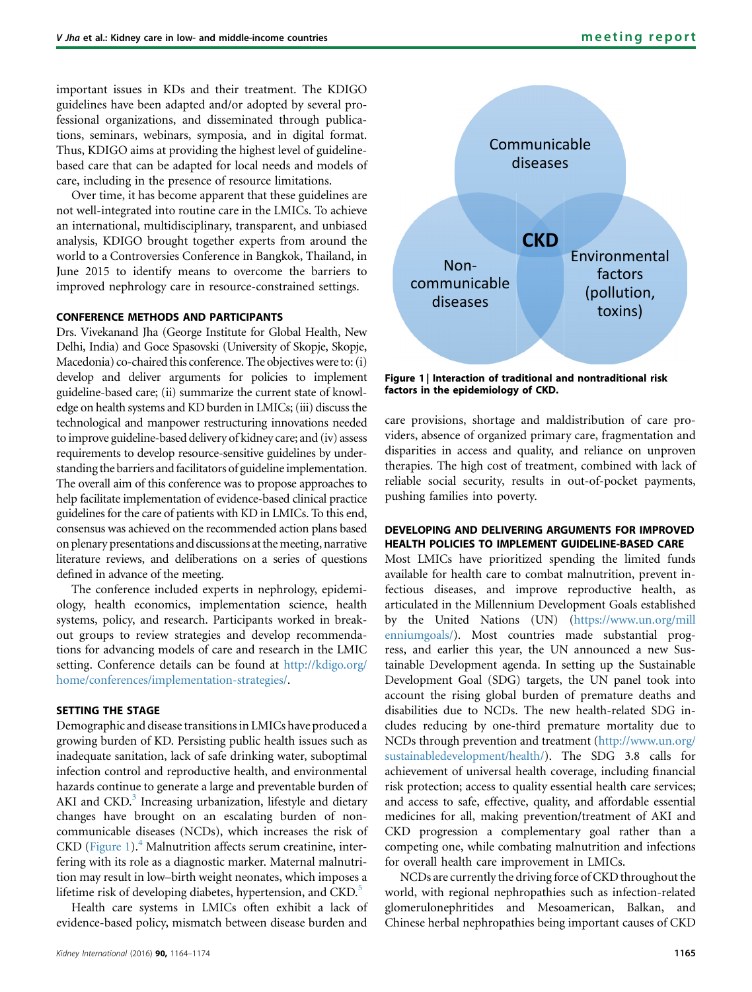important issues in KDs and their treatment. The KDIGO guidelines have been adapted and/or adopted by several professional organizations, and disseminated through publications, seminars, webinars, symposia, and in digital format. Thus, KDIGO aims at providing the highest level of guidelinebased care that can be adapted for local needs and models of care, including in the presence of resource limitations.

Over time, it has become apparent that these guidelines are not well-integrated into routine care in the LMICs. To achieve an international, multidisciplinary, transparent, and unbiased analysis, KDIGO brought together experts from around the world to a Controversies Conference in Bangkok, Thailand, in June 2015 to identify means to overcome the barriers to improved nephrology care in resource-constrained settings.

#### CONFERENCE METHODS AND PARTICIPANTS

Drs. Vivekanand Jha (George Institute for Global Health, New Delhi, India) and Goce Spasovski (University of Skopje, Skopje, Macedonia) co-chaired this conference. The objectives were to: (i) develop and deliver arguments for policies to implement guideline-based care; (ii) summarize the current state of knowledge on health systems and KD burden in LMICs; (iii) discuss the technological and manpower restructuring innovations needed to improve guideline-based delivery of kidney care; and (iv) assess requirements to develop resource-sensitive guidelines by understanding the barriers and facilitators of guideline implementation. The overall aim of this conference was to propose approaches to help facilitate implementation of evidence-based clinical practice guidelines for the care of patients with KD in LMICs. To this end, consensus was achieved on the recommended action plans based on plenary presentations and discussions at themeeting, narrative literature reviews, and deliberations on a series of questions defined in advance of the meeting.

The conference included experts in nephrology, epidemiology, health economics, implementation science, health systems, policy, and research. Participants worked in breakout groups to review strategies and develop recommendations for advancing models of care and research in the LMIC setting. Conference details can be found at [http://kdigo.org/](http://kdigo.org/home/conferences/implementation-strategies/) [home/conferences/implementation-strategies/](http://kdigo.org/home/conferences/implementation-strategies/).

#### SETTING THE STAGE

Demographic and disease transitions in LMICs have produced a growing burden of KD. Persisting public health issues such as inadequate sanitation, lack of safe drinking water, suboptimal infection control and reproductive health, and environmental hazards continue to generate a large and preventable burden of AKI and CKD.<sup>3</sup> Increasing urbanization, lifestyle and dietary changes have brought on an escalating burden of noncommunicable diseases (NCDs), which increases the risk of  $CKD$  (Figure 1).<sup>4</sup> Malnutrition affects serum creatinine, interfering with its role as a diagnostic marker. Maternal malnutrition may result in low–birth weight neonates, which imposes a lifetime risk of developing diabetes, hypertension, and CKD.<sup>[5](#page-9-0)</sup>

Health care systems in LMICs often exhibit a lack of evidence-based policy, mismatch between disease burden and



Figure 1 | Interaction of traditional and nontraditional risk factors in the epidemiology of CKD.

care provisions, shortage and maldistribution of care providers, absence of organized primary care, fragmentation and disparities in access and quality, and reliance on unproven therapies. The high cost of treatment, combined with lack of reliable social security, results in out-of-pocket payments, pushing families into poverty.

### DEVELOPING AND DELIVERING ARGUMENTS FOR IMPROVED HEALTH POLICIES TO IMPLEMENT GUIDELINE-BASED CARE

Most LMICs have prioritized spending the limited funds available for health care to combat malnutrition, prevent infectious diseases, and improve reproductive health, as articulated in the Millennium Development Goals established by the United Nations (UN) [\(https://www.un.org/mill](https://www.un.org/millenniumgoals/) [enniumgoals/](https://www.un.org/millenniumgoals/)). Most countries made substantial progress, and earlier this year, the UN announced a new Sustainable Development agenda. In setting up the Sustainable Development Goal (SDG) targets, the UN panel took into account the rising global burden of premature deaths and disabilities due to NCDs. The new health-related SDG includes reducing by one-third premature mortality due to NCDs through prevention and treatment ([http://www.un.org/](http://www.un.org/sustainabledevelopment/health/) [sustainabledevelopment/health/\)](http://www.un.org/sustainabledevelopment/health/). The SDG 3.8 calls for achievement of universal health coverage, including financial risk protection; access to quality essential health care services; and access to safe, effective, quality, and affordable essential medicines for all, making prevention/treatment of AKI and CKD progression a complementary goal rather than a competing one, while combating malnutrition and infections for overall health care improvement in LMICs.

NCDs are currently the driving force of CKD throughout the world, with regional nephropathies such as infection-related glomerulonephritides and Mesoamerican, Balkan, and Chinese herbal nephropathies being important causes of CKD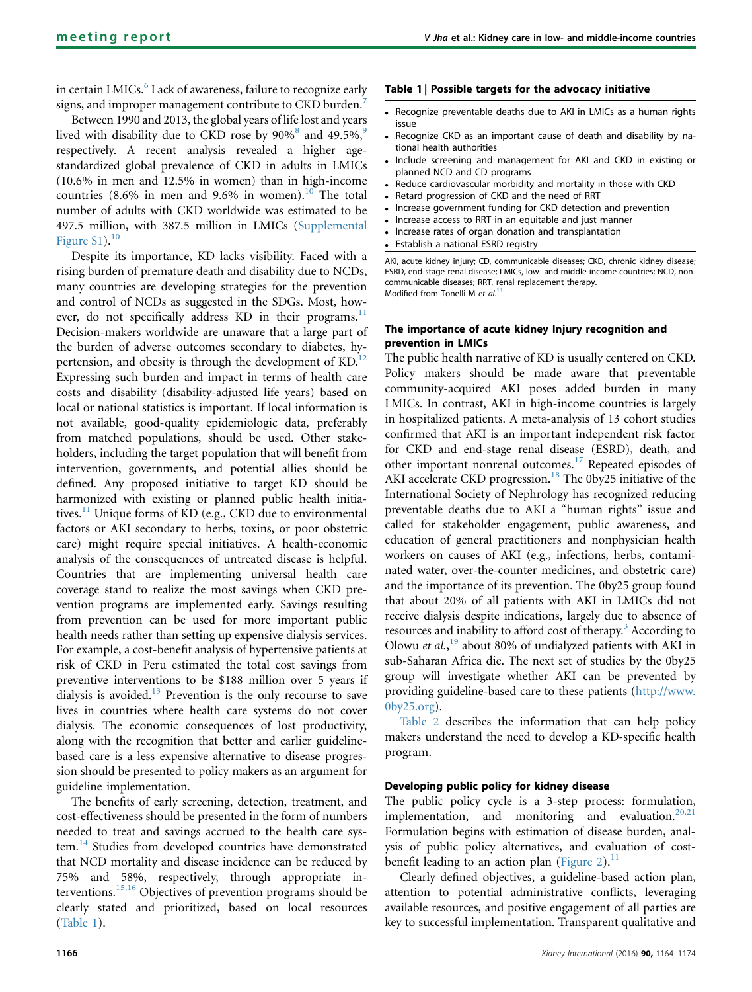in certain LMICs.<sup>[6](#page-9-0)</sup> Lack of awareness, failure to recognize early signs, and improper management contribute to CKD burden.<sup>7</sup>

Between 1990 and 2013, the global years of life lost and years lived with disability due to CKD rose by  $90\%$ <sup>[8](#page-9-0)</sup> and  $49.5\%$ respectively. A recent analysis revealed a higher agestandardized global prevalence of CKD in adults in LMICs (10.6% in men and 12.5% in women) than in high-income countries  $(8.6\%$  in men and 9.6% in women).<sup>[10](#page-9-0)</sup> The total number of adults with CKD worldwide was estimated to be 497.5 million, with 387.5 million in LMICs (Supplemental Figure  $S1$ ).<sup>[10](#page-9-0)</sup>

Despite its importance, KD lacks visibility. Faced with a rising burden of premature death and disability due to NCDs, many countries are developing strategies for the prevention and control of NCDs as suggested in the SDGs. Most, how-ever, do not specifically address KD in their programs.<sup>[11](#page-9-0)</sup> Decision-makers worldwide are unaware that a large part of the burden of adverse outcomes secondary to diabetes, hy-pertension, and obesity is through the development of KD.<sup>[12](#page-9-0)</sup> Expressing such burden and impact in terms of health care costs and disability (disability-adjusted life years) based on local or national statistics is important. If local information is not available, good-quality epidemiologic data, preferably from matched populations, should be used. Other stakeholders, including the target population that will benefit from intervention, governments, and potential allies should be defined. Any proposed initiative to target KD should be harmonized with existing or planned public health initia-tives.<sup>[11](#page-9-0)</sup> Unique forms of KD (e.g., CKD due to environmental factors or AKI secondary to herbs, toxins, or poor obstetric care) might require special initiatives. A health-economic analysis of the consequences of untreated disease is helpful. Countries that are implementing universal health care coverage stand to realize the most savings when CKD prevention programs are implemented early. Savings resulting from prevention can be used for more important public health needs rather than setting up expensive dialysis services. For example, a cost-benefit analysis of hypertensive patients at risk of CKD in Peru estimated the total cost savings from preventive interventions to be \$188 million over 5 years if dialysis is avoided. $13$  Prevention is the only recourse to save lives in countries where health care systems do not cover dialysis. The economic consequences of lost productivity, along with the recognition that better and earlier guidelinebased care is a less expensive alternative to disease progression should be presented to policy makers as an argument for guideline implementation.

The benefits of early screening, detection, treatment, and cost-effectiveness should be presented in the form of numbers needed to treat and savings accrued to the health care sys-tem.<sup>[14](#page-9-0)</sup> Studies from developed countries have demonstrated that NCD mortality and disease incidence can be reduced by 75% and 58%, respectively, through appropriate interventions.[15,16](#page-9-0) Objectives of prevention programs should be clearly stated and prioritized, based on local resources (Table 1).

## Table 1 | Possible targets for the advocacy initiative

- Recognize preventable deaths due to AKI in LMICs as a human rights issue
- Recognize CKD as an important cause of death and disability by national health authorities
- Include screening and management for AKI and CKD in existing or planned NCD and CD programs
- Reduce cardiovascular morbidity and mortality in those with CKD
- Retard progression of CKD and the need of RRT
- Increase government funding for CKD detection and prevention
- Increase access to RRT in an equitable and just manner
- Increase rates of organ donation and transplantation
- Establish a national ESRD registry

AKI, acute kidney injury; CD, communicable diseases; CKD, chronic kidney disease; ESRD, end-stage renal disease; LMICs, low- and middle-income countries; NCD, noncommunicable diseases; RRT, renal replacement therapy. Modified from Tonelli M et al.<sup>[11](#page-9-0)</sup>

#### The importance of acute kidney Injury recognition and prevention in LMICs

The public health narrative of KD is usually centered on CKD. Policy makers should be made aware that preventable community-acquired AKI poses added burden in many LMICs. In contrast, AKI in high-income countries is largely in hospitalized patients. A meta-analysis of 13 cohort studies confirmed that AKI is an important independent risk factor for CKD and end-stage renal disease (ESRD), death, and other important nonrenal outcomes.<sup>[17](#page-9-0)</sup> Repeated episodes of AKI accelerate CKD progression.<sup>[18](#page-9-0)</sup> The 0by25 initiative of the International Society of Nephrology has recognized reducing preventable deaths due to AKI a "human rights" issue and called for stakeholder engagement, public awareness, and education of general practitioners and nonphysician health workers on causes of AKI (e.g., infections, herbs, contaminated water, over-the-counter medicines, and obstetric care) and the importance of its prevention. The 0by25 group found that about 20% of all patients with AKI in LMICs did not receive dialysis despite indications, largely due to absence of resources and inability to afford cost of therapy.<sup>[3](#page-9-0)</sup> According to Olowu et al.,<sup>[19](#page-9-0)</sup> about 80% of undialyzed patients with AKI in sub-Saharan Africa die. The next set of studies by the 0by25 group will investigate whether AKI can be prevented by providing guideline-based care to these patients [\(http://www.](http://www.0by25.org) [0by25.org](http://www.0by25.org)).

[Table 2](#page-3-0) describes the information that can help policy makers understand the need to develop a KD-specific health program.

#### Developing public policy for kidney disease

The public policy cycle is a 3-step process: formulation, implementation, and monitoring and evaluation.  $20,21$ Formulation begins with estimation of disease burden, analysis of public policy alternatives, and evaluation of cost-benefit leading to an action plan ([Figure 2](#page-3-0)). $^{11}$  $^{11}$  $^{11}$ 

Clearly defined objectives, a guideline-based action plan, attention to potential administrative conflicts, leveraging available resources, and positive engagement of all parties are key to successful implementation. Transparent qualitative and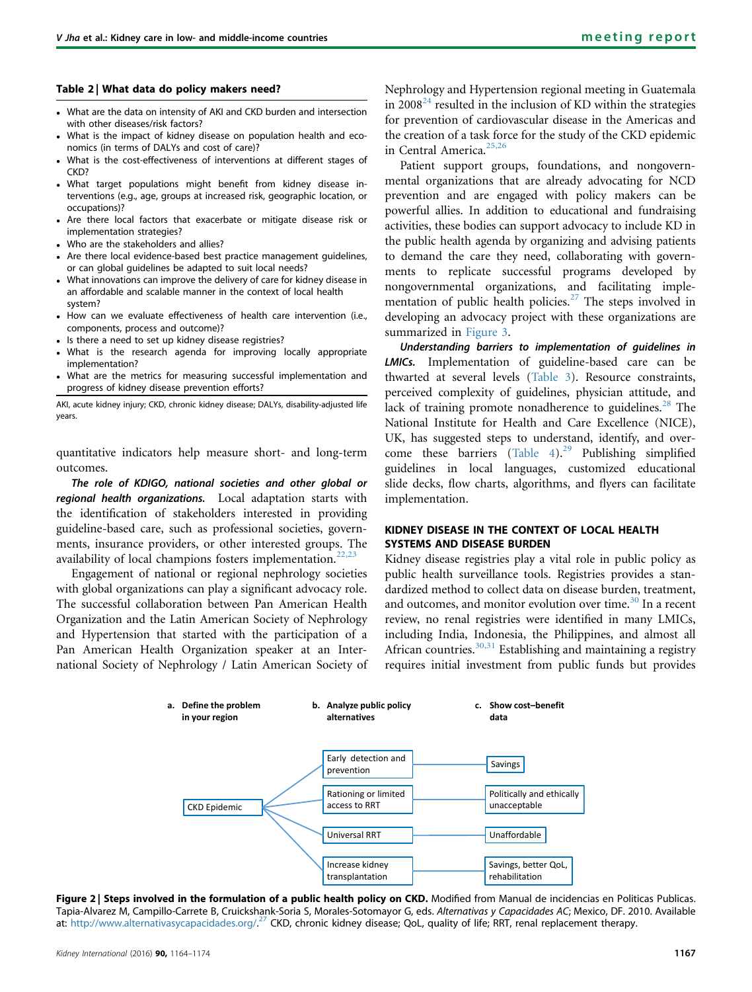#### <span id="page-3-0"></span>Table 2 | What data do policy makers need?

- What are the data on intensity of AKI and CKD burden and intersection with other diseases/risk factors?
- What is the impact of kidney disease on population health and economics (in terms of DALYs and cost of care)?
- What is the cost-effectiveness of interventions at different stages of CKD?
- What target populations might benefit from kidney disease interventions (e.g., age, groups at increased risk, geographic location, or occupations)?
- Are there local factors that exacerbate or mitigate disease risk or implementation strategies?
- Who are the stakeholders and allies?
- Are there local evidence-based best practice management guidelines, or can global guidelines be adapted to suit local needs?
- What innovations can improve the delivery of care for kidney disease in an affordable and scalable manner in the context of local health system?
- How can we evaluate effectiveness of health care intervention (i.e., components, process and outcome)?
- Is there a need to set up kidney disease registries?
- What is the research agenda for improving locally appropriate implementation?
- What are the metrics for measuring successful implementation and progress of kidney disease prevention efforts?

AKI, acute kidney injury; CKD, chronic kidney disease; DALYs, disability-adjusted life years.

quantitative indicators help measure short- and long-term outcomes.

The role of KDIGO, national societies and other global or regional health organizations. Local adaptation starts with the identification of stakeholders interested in providing guideline-based care, such as professional societies, governments, insurance providers, or other interested groups. The availability of local champions fosters implementation.<sup>[22,23](#page-9-0)</sup>

Engagement of national or regional nephrology societies with global organizations can play a significant advocacy role. The successful collaboration between Pan American Health Organization and the Latin American Society of Nephrology and Hypertension that started with the participation of a Pan American Health Organization speaker at an International Society of Nephrology / Latin American Society of Nephrology and Hypertension regional meeting in Guatemala in 2008<sup>[24](#page-9-0)</sup> resulted in the inclusion of KD within the strategies for prevention of cardiovascular disease in the Americas and the creation of a task force for the study of the CKD epidemic in Central America.<sup>[25,26](#page-9-0)</sup>

Patient support groups, foundations, and nongovernmental organizations that are already advocating for NCD prevention and are engaged with policy makers can be powerful allies. In addition to educational and fundraising activities, these bodies can support advocacy to include KD in the public health agenda by organizing and advising patients to demand the care they need, collaborating with governments to replicate successful programs developed by nongovernmental organizations, and facilitating implementation of public health policies. $27$  The steps involved in developing an advocacy project with these organizations are summarized in [Figure 3](#page-4-0).

Understanding barriers to implementation of guidelines in LMICs. Implementation of guideline-based care can be thwarted at several levels ([Table 3\)](#page-4-0). Resource constraints, perceived complexity of guidelines, physician attitude, and lack of training promote nonadherence to guidelines.<sup>28</sup> The National Institute for Health and Care Excellence (NICE), UK, has suggested steps to understand, identify, and over-come these barriers [\(Table 4\)](#page-5-0).<sup>[29](#page-9-0)</sup> Publishing simplified guidelines in local languages, customized educational slide decks, flow charts, algorithms, and flyers can facilitate implementation.

## KIDNEY DISEASE IN THE CONTEXT OF LOCAL HEALTH SYSTEMS AND DISEASE BURDEN

Kidney disease registries play a vital role in public policy as public health surveillance tools. Registries provides a standardized method to collect data on disease burden, treatment, and outcomes, and monitor evolution over time.<sup>[30](#page-9-0)</sup> In a recent review, no renal registries were identified in many LMICs, including India, Indonesia, the Philippines, and almost all African countries.<sup>[30,31](#page-9-0)</sup> Establishing and maintaining a registry requires initial investment from public funds but provides



Figure 2 | Steps involved in the formulation of a public health policy on CKD. Modified from Manual de incidencias en Politicas Publicas. Tapia-Alvarez M, Campillo-Carrete B, Cruickshank-Soria S, Morales-Sotomayor G, eds. Alternativas y Capacidades AC; Mexico, DF. 2010. Available at: http://www.alternativasycapacidades.org/<sup>[27](#page-9-0)</sup> CKD, chronic kidney disease; QoL, quality of life; RRT, renal replacement therapy.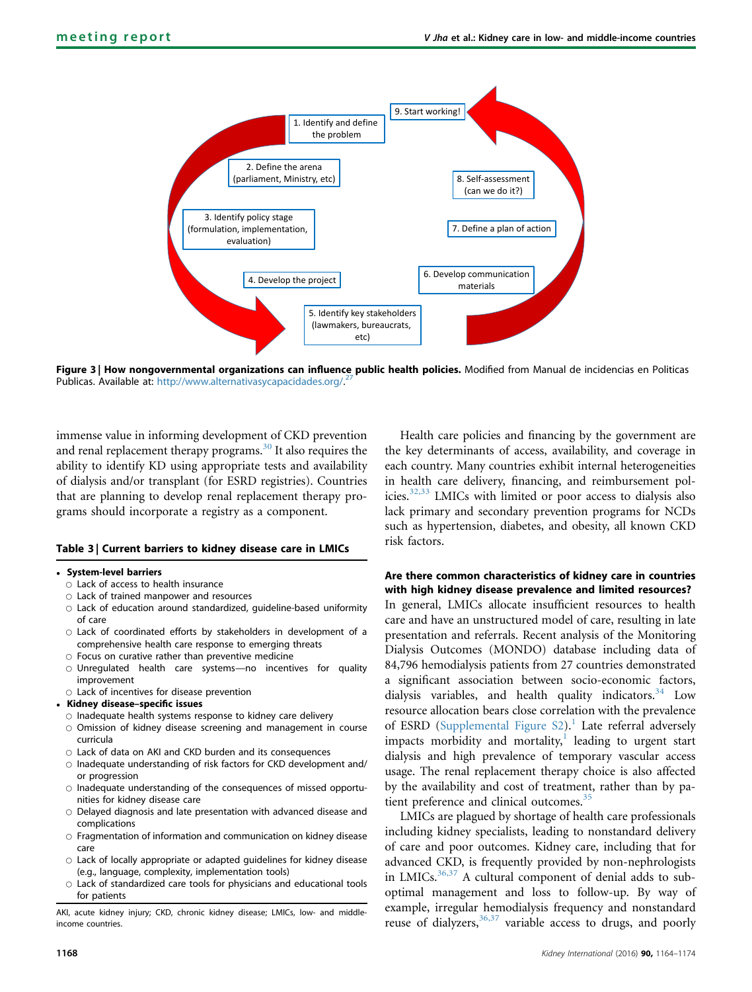<span id="page-4-0"></span>

Figure 3 | How nongovernmental organizations can influence public health policies. Modified from Manual de incidencias en Politicas Publicas. Available at: <http://www.alternativasycapacidades.org/><sup>[27](#page-9-0)</sup>

immense value in informing development of CKD prevention and renal replacement therapy programs. $30$  It also requires the ability to identify KD using appropriate tests and availability of dialysis and/or transplant (for ESRD registries). Countries that are planning to develop renal replacement therapy programs should incorporate a registry as a component.

## Table 3 | Current barriers to kidney disease care in LMICs

#### System-level barriers

- $\circ$  Lack of access to health insurance
- $\circ$  Lack of trained manpower and resources
- $\circ$  Lack of education around standardized, guideline-based uniformity of care
- $\circ$  Lack of coordinated efforts by stakeholders in development of a comprehensive health care response to emerging threats
- $\circ$  Focus on curative rather than preventive medicine
- $\circ$  Unregulated health care systems—no incentives for quality improvement
- $\circ$  Lack of incentives for disease prevention

#### Kidney disease–specific issues

- $\circ$  Inadequate health systems response to kidney care delivery
- $\circ$  Omission of kidney disease screening and management in course curricula
- $\circ$  Lack of data on AKI and CKD burden and its consequences
- $\circ$  Inadequate understanding of risk factors for CKD development and/ or progression
- $\circ$  Inadequate understanding of the consequences of missed opportunities for kidney disease care
- $\circ$  Delayed diagnosis and late presentation with advanced disease and complications
- $\circ$  Fragmentation of information and communication on kidney disease care
- $\circ$  Lack of locally appropriate or adapted guidelines for kidney disease (e.g., language, complexity, implementation tools)
- $\circ$  Lack of standardized care tools for physicians and educational tools for patients

AKI, acute kidney injury; CKD, chronic kidney disease; LMICs, low- and middleincome countries.

Health care policies and financing by the government are the key determinants of access, availability, and coverage in each country. Many countries exhibit internal heterogeneities in health care delivery, financing, and reimbursement pol-icies.<sup>[32,33](#page-9-0)</sup> LMICs with limited or poor access to dialysis also lack primary and secondary prevention programs for NCDs such as hypertension, diabetes, and obesity, all known CKD risk factors.

# Are there common characteristics of kidney care in countries with high kidney disease prevalence and limited resources?

In general, LMICs allocate insufficient resources to health care and have an unstructured model of care, resulting in late presentation and referrals. Recent analysis of the Monitoring Dialysis Outcomes (MONDO) database including data of 84,796 hemodialysis patients from 27 countries demonstrated a significant association between socio-economic factors, dialysis variables, and health quality indicators.<sup>[34](#page-9-0)</sup> Low resource allocation bears close correlation with the prevalence of ESRD (Supplemental Figure  $S_2$ ).<sup>[1](#page-9-0)</sup> Late referral adversely impacts morbidity and mortality, $\frac{1}{1}$  $\frac{1}{1}$  $\frac{1}{1}$  leading to urgent start dialysis and high prevalence of temporary vascular access usage. The renal replacement therapy choice is also affected by the availability and cost of treatment, rather than by pa-tient preference and clinical outcomes.<sup>[35](#page-9-0)</sup>

LMICs are plagued by shortage of health care professionals including kidney specialists, leading to nonstandard delivery of care and poor outcomes. Kidney care, including that for advanced CKD, is frequently provided by non-nephrologists in LMICs. $36,37$  A cultural component of denial adds to suboptimal management and loss to follow-up. By way of example, irregular hemodialysis frequency and nonstandard reuse of dialyzers,  $36,37$  variable access to drugs, and poorly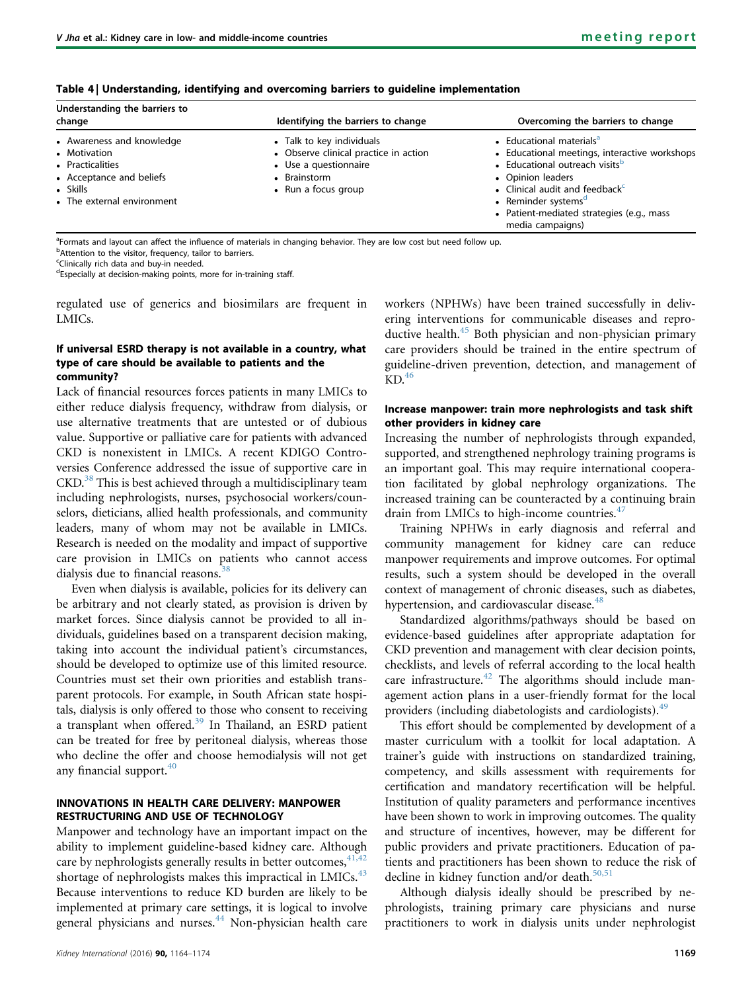| Understanding the barriers to<br>change                                                                                                     | Identifying the barriers to change                                                                                                 | Overcoming the barriers to change                                                                                                                                                                                                                                                                        |
|---------------------------------------------------------------------------------------------------------------------------------------------|------------------------------------------------------------------------------------------------------------------------------------|----------------------------------------------------------------------------------------------------------------------------------------------------------------------------------------------------------------------------------------------------------------------------------------------------------|
| • Awareness and knowledge<br>• Motivation<br>• Practicalities<br>• Acceptance and beliefs<br>$\bullet$ Skills<br>• The external environment | • Talk to key individuals<br>• Observe clinical practice in action<br>• Use a questionnaire<br>• Brainstorm<br>• Run a focus group | • Educational materials <sup>a</sup><br>• Educational meetings, interactive workshops<br>• Educational outreach visits <sup>b</sup><br>• Opinion leaders<br>• Clinical audit and feedback $\epsilon$<br>• Reminder systems <sup>d</sup><br>• Patient-mediated strategies (e.g., mass<br>media campaigns) |

#### <span id="page-5-0"></span>Table 4 | Understanding, identifying and overcoming barriers to guideline implementation

<sup>a</sup> Formats and layout can affect the influence of materials in changing behavior. They are low cost but need follow up.<br><sup>b</sup>Attention to the visiter frequency tailer to barriers

<sup>b</sup>Attention to the visitor, frequency, tailor to barriers.

c Clinically rich data and buy-in needed.

dEspecially at decision-making points, more for in-training staff.

regulated use of generics and biosimilars are frequent in LMICs.

#### If universal ESRD therapy is not available in a country, what type of care should be available to patients and the community?

Lack of financial resources forces patients in many LMICs to either reduce dialysis frequency, withdraw from dialysis, or use alternative treatments that are untested or of dubious value. Supportive or palliative care for patients with advanced CKD is nonexistent in LMICs. A recent KDIGO Controversies Conference addressed the issue of supportive care in CKD.<sup>[38](#page-9-0)</sup> This is best achieved through a multidisciplinary team including nephrologists, nurses, psychosocial workers/counselors, dieticians, allied health professionals, and community leaders, many of whom may not be available in LMICs. Research is needed on the modality and impact of supportive care provision in LMICs on patients who cannot access dialysis due to financial reasons.<sup>[38](#page-9-0)</sup>

Even when dialysis is available, policies for its delivery can be arbitrary and not clearly stated, as provision is driven by market forces. Since dialysis cannot be provided to all individuals, guidelines based on a transparent decision making, taking into account the individual patient's circumstances, should be developed to optimize use of this limited resource. Countries must set their own priorities and establish transparent protocols. For example, in South African state hospitals, dialysis is only offered to those who consent to receiving a transplant when offered. $39$  In Thailand, an ESRD patient can be treated for free by peritoneal dialysis, whereas those who decline the offer and choose hemodialysis will not get any financial support. $40$ 

#### INNOVATIONS IN HEALTH CARE DELIVERY: MANPOWER RESTRUCTURING AND USE OF TECHNOLOGY

Manpower and technology have an important impact on the ability to implement guideline-based kidney care. Although care by nephrologists generally results in better outcomes,  $41,42$ shortage of nephrologists makes this impractical in LMICs.<sup>[43](#page-9-0)</sup> Because interventions to reduce KD burden are likely to be implemented at primary care settings, it is logical to involve general physicians and nurses.<sup>[44](#page-9-0)</sup> Non-physician health care workers (NPHWs) have been trained successfully in delivering interventions for communicable diseases and reproductive health.<sup>45</sup> Both physician and non-physician primary care providers should be trained in the entire spectrum of guideline-driven prevention, detection, and management of  $KD<sup>46</sup>$  $KD<sup>46</sup>$  $KD<sup>46</sup>$ 

#### Increase manpower: train more nephrologists and task shift other providers in kidney care

Increasing the number of nephrologists through expanded, supported, and strengthened nephrology training programs is an important goal. This may require international cooperation facilitated by global nephrology organizations. The increased training can be counteracted by a continuing brain drain from LMICs to high-income countries.<sup>[47](#page-10-0)</sup>

Training NPHWs in early diagnosis and referral and community management for kidney care can reduce manpower requirements and improve outcomes. For optimal results, such a system should be developed in the overall context of management of chronic diseases, such as diabetes, hypertension, and cardiovascular disease.<sup>[48](#page-10-0)</sup>

Standardized algorithms/pathways should be based on evidence-based guidelines after appropriate adaptation for CKD prevention and management with clear decision points, checklists, and levels of referral according to the local health care infrastructure. $42$  The algorithms should include management action plans in a user-friendly format for the local providers (including diabetologists and cardiologists).<sup>[49](#page-10-0)</sup>

This effort should be complemented by development of a master curriculum with a toolkit for local adaptation. A trainer's guide with instructions on standardized training, competency, and skills assessment with requirements for certification and mandatory recertification will be helpful. Institution of quality parameters and performance incentives have been shown to work in improving outcomes. The quality and structure of incentives, however, may be different for public providers and private practitioners. Education of patients and practitioners has been shown to reduce the risk of decline in kidney function and/or death.<sup>[50,51](#page-10-0)</sup>

Although dialysis ideally should be prescribed by nephrologists, training primary care physicians and nurse practitioners to work in dialysis units under nephrologist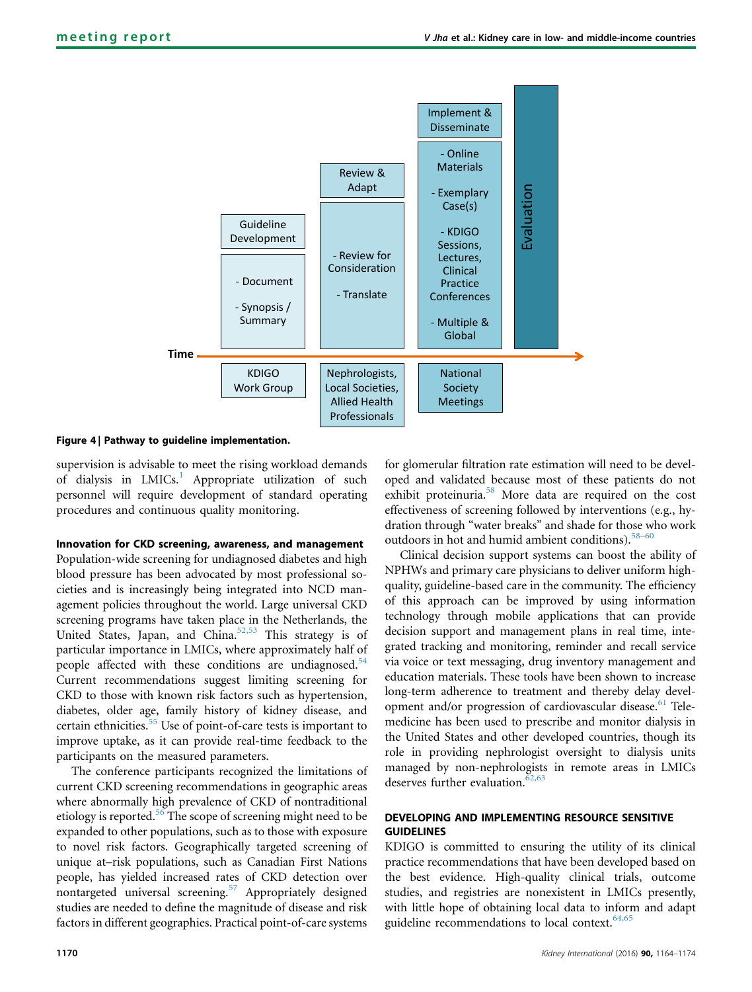<span id="page-6-0"></span>

Figure 4 | Pathway to guideline implementation.

supervision is advisable to meet the rising workload demands of dialysis in LMICs.<sup>[1](#page-9-0)</sup> Appropriate utilization of such personnel will require development of standard operating procedures and continuous quality monitoring.

# Innovation for CKD screening, awareness, and management

Population-wide screening for undiagnosed diabetes and high blood pressure has been advocated by most professional societies and is increasingly being integrated into NCD management policies throughout the world. Large universal CKD screening programs have taken place in the Netherlands, the United States, Japan, and China.<sup>[52,53](#page-10-0)</sup> This strategy is of particular importance in LMICs, where approximately half of people affected with these conditions are undiagnosed. $54$ Current recommendations suggest limiting screening for CKD to those with known risk factors such as hypertension, diabetes, older age, family history of kidney disease, and certain ethnicities.<sup>[55](#page-10-0)</sup> Use of point-of-care tests is important to improve uptake, as it can provide real-time feedback to the participants on the measured parameters.

The conference participants recognized the limitations of current CKD screening recommendations in geographic areas where abnormally high prevalence of CKD of nontraditional etiology is reported.<sup>[56](#page-10-0)</sup> The scope of screening might need to be expanded to other populations, such as to those with exposure to novel risk factors. Geographically targeted screening of unique at–risk populations, such as Canadian First Nations people, has yielded increased rates of CKD detection over nontargeted universal screening.<sup>[57](#page-10-0)</sup> Appropriately designed studies are needed to define the magnitude of disease and risk factors in different geographies. Practical point-of-care systems for glomerular filtration rate estimation will need to be developed and validated because most of these patients do not exhibit proteinuria.<sup>[58](#page-10-0)</sup> More data are required on the cost effectiveness of screening followed by interventions (e.g., hydration through "water breaks" and shade for those who work outdoors in hot and humid ambient conditions).<sup>58-[60](#page-10-0)</sup>

Clinical decision support systems can boost the ability of NPHWs and primary care physicians to deliver uniform highquality, guideline-based care in the community. The efficiency of this approach can be improved by using information technology through mobile applications that can provide decision support and management plans in real time, integrated tracking and monitoring, reminder and recall service via voice or text messaging, drug inventory management and education materials. These tools have been shown to increase long-term adherence to treatment and thereby delay devel-opment and/or progression of cardiovascular disease.<sup>[61](#page-10-0)</sup> Telemedicine has been used to prescribe and monitor dialysis in the United States and other developed countries, though its role in providing nephrologist oversight to dialysis units managed by non-nephrologists in remote areas in LMICs deserves further evaluation. $62,63$ 

# DEVELOPING AND IMPLEMENTING RESOURCE SENSITIVE GUIDELINES

KDIGO is committed to ensuring the utility of its clinical practice recommendations that have been developed based on the best evidence. High-quality clinical trials, outcome studies, and registries are nonexistent in LMICs presently, with little hope of obtaining local data to inform and adapt guideline recommendations to local context. $64,65$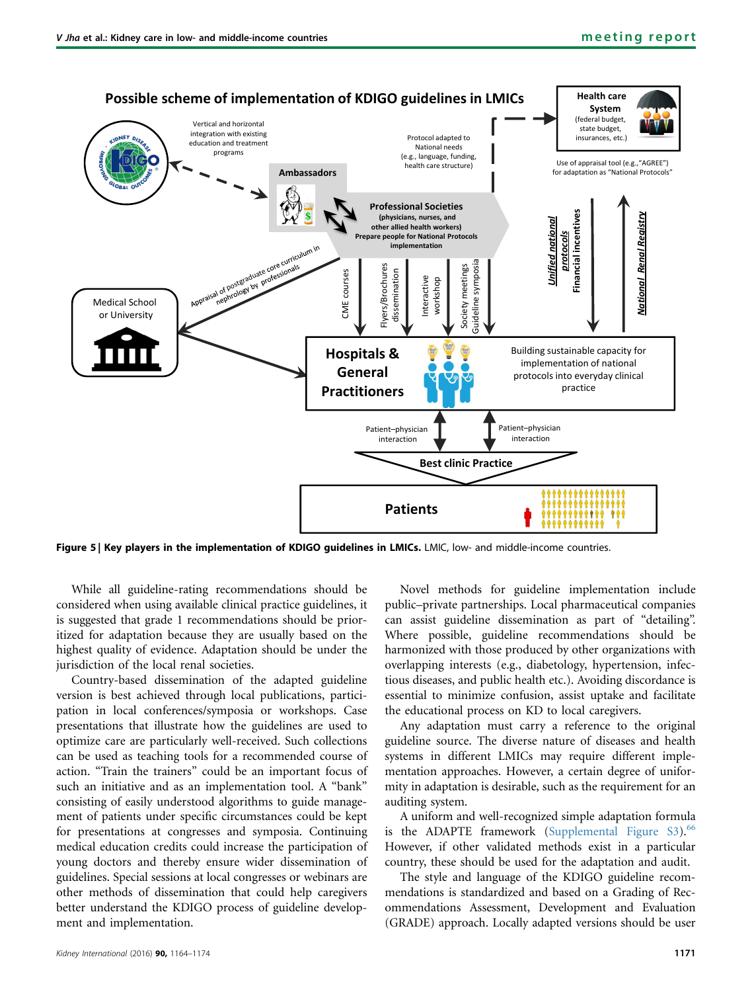<span id="page-7-0"></span>

Figure 5 | Key players in the implementation of KDIGO guidelines in LMICs. LMIC, low- and middle-income countries.

While all guideline-rating recommendations should be considered when using available clinical practice guidelines, it is suggested that grade 1 recommendations should be prioritized for adaptation because they are usually based on the highest quality of evidence. Adaptation should be under the jurisdiction of the local renal societies.

Country-based dissemination of the adapted guideline version is best achieved through local publications, participation in local conferences/symposia or workshops. Case presentations that illustrate how the guidelines are used to optimize care are particularly well-received. Such collections can be used as teaching tools for a recommended course of action. "Train the trainers" could be an important focus of such an initiative and as an implementation tool. A "bank" consisting of easily understood algorithms to guide management of patients under specific circumstances could be kept for presentations at congresses and symposia. Continuing medical education credits could increase the participation of young doctors and thereby ensure wider dissemination of guidelines. Special sessions at local congresses or webinars are other methods of dissemination that could help caregivers better understand the KDIGO process of guideline development and implementation.

Novel methods for guideline implementation include public–private partnerships. Local pharmaceutical companies can assist guideline dissemination as part of "detailing". Where possible, guideline recommendations should be harmonized with those produced by other organizations with overlapping interests (e.g., diabetology, hypertension, infectious diseases, and public health etc.). Avoiding discordance is essential to minimize confusion, assist uptake and facilitate the educational process on KD to local caregivers.

Any adaptation must carry a reference to the original guideline source. The diverse nature of diseases and health systems in different LMICs may require different implementation approaches. However, a certain degree of uniformity in adaptation is desirable, such as the requirement for an auditing system.

A uniform and well-recognized simple adaptation formula is the ADAPTE framework (Supplemental Figure S3).<sup>[66](#page-10-0)</sup> However, if other validated methods exist in a particular country, these should be used for the adaptation and audit.

The style and language of the KDIGO guideline recommendations is standardized and based on a Grading of Recommendations Assessment, Development and Evaluation (GRADE) approach. Locally adapted versions should be user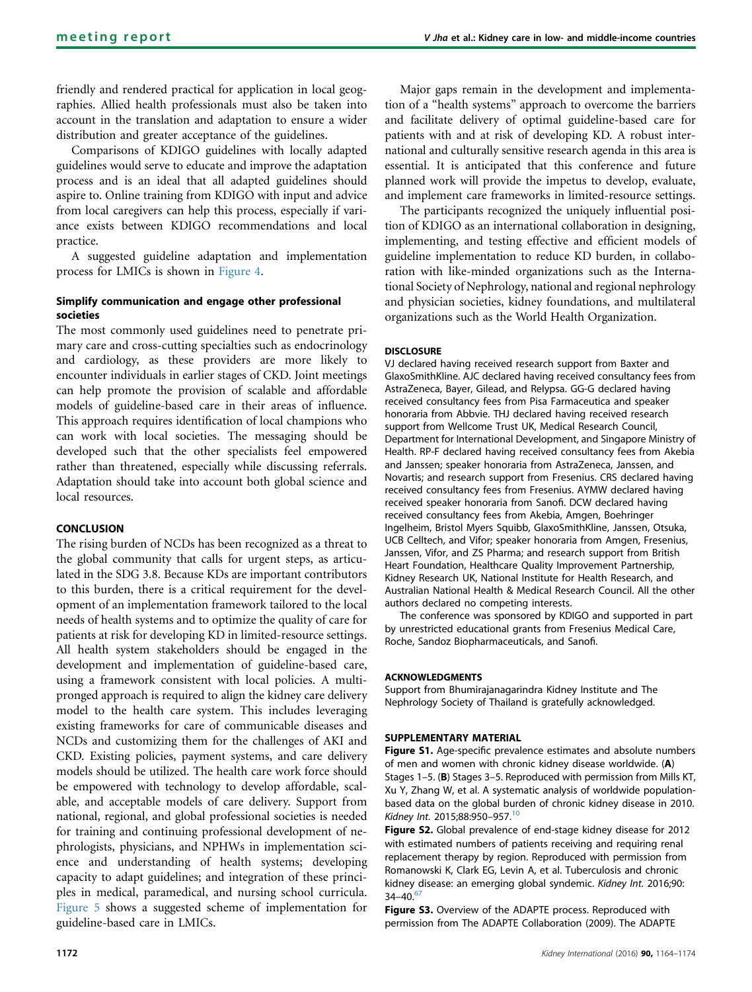friendly and rendered practical for application in local geographies. Allied health professionals must also be taken into account in the translation and adaptation to ensure a wider distribution and greater acceptance of the guidelines.

Comparisons of KDIGO guidelines with locally adapted guidelines would serve to educate and improve the adaptation process and is an ideal that all adapted guidelines should aspire to. Online training from KDIGO with input and advice from local caregivers can help this process, especially if variance exists between KDIGO recommendations and local practice.

A suggested guideline adaptation and implementation process for LMICs is shown in [Figure 4.](#page-6-0)

## Simplify communication and engage other professional societies

The most commonly used guidelines need to penetrate primary care and cross-cutting specialties such as endocrinology and cardiology, as these providers are more likely to encounter individuals in earlier stages of CKD. Joint meetings can help promote the provision of scalable and affordable models of guideline-based care in their areas of influence. This approach requires identification of local champions who can work with local societies. The messaging should be developed such that the other specialists feel empowered rather than threatened, especially while discussing referrals. Adaptation should take into account both global science and local resources.

## **CONCLUSION**

The rising burden of NCDs has been recognized as a threat to the global community that calls for urgent steps, as articulated in the SDG 3.8. Because KDs are important contributors to this burden, there is a critical requirement for the development of an implementation framework tailored to the local needs of health systems and to optimize the quality of care for patients at risk for developing KD in limited-resource settings. All health system stakeholders should be engaged in the development and implementation of guideline-based care, using a framework consistent with local policies. A multipronged approach is required to align the kidney care delivery model to the health care system. This includes leveraging existing frameworks for care of communicable diseases and NCDs and customizing them for the challenges of AKI and CKD. Existing policies, payment systems, and care delivery models should be utilized. The health care work force should be empowered with technology to develop affordable, scalable, and acceptable models of care delivery. Support from national, regional, and global professional societies is needed for training and continuing professional development of nephrologists, physicians, and NPHWs in implementation science and understanding of health systems; developing capacity to adapt guidelines; and integration of these principles in medical, paramedical, and nursing school curricula. [Figure 5](#page-7-0) shows a suggested scheme of implementation for guideline-based care in LMICs.

Major gaps remain in the development and implementation of a "health systems" approach to overcome the barriers and facilitate delivery of optimal guideline-based care for patients with and at risk of developing KD. A robust international and culturally sensitive research agenda in this area is essential. It is anticipated that this conference and future planned work will provide the impetus to develop, evaluate, and implement care frameworks in limited-resource settings.

The participants recognized the uniquely influential position of KDIGO as an international collaboration in designing, implementing, and testing effective and efficient models of guideline implementation to reduce KD burden, in collaboration with like-minded organizations such as the International Society of Nephrology, national and regional nephrology and physician societies, kidney foundations, and multilateral organizations such as the World Health Organization.

#### **DISCLOSURE**

VJ declared having received research support from Baxter and GlaxoSmithKline. AJC declared having received consultancy fees from AstraZeneca, Bayer, Gilead, and Relypsa. GG-G declared having received consultancy fees from Pisa Farmaceutica and speaker honoraria from Abbvie. THJ declared having received research support from Wellcome Trust UK, Medical Research Council, Department for International Development, and Singapore Ministry of Health. RP-F declared having received consultancy fees from Akebia and Janssen; speaker honoraria from AstraZeneca, Janssen, and Novartis; and research support from Fresenius. CRS declared having received consultancy fees from Fresenius. AYMW declared having received speaker honoraria from Sanofi. DCW declared having received consultancy fees from Akebia, Amgen, Boehringer Ingelheim, Bristol Myers Squibb, GlaxoSmithKline, Janssen, Otsuka, UCB Celltech, and Vifor; speaker honoraria from Amgen, Fresenius, Janssen, Vifor, and ZS Pharma; and research support from British Heart Foundation, Healthcare Quality Improvement Partnership, Kidney Research UK, National Institute for Health Research, and Australian National Health & Medical Research Council. All the other authors declared no competing interests.

The conference was sponsored by KDIGO and supported in part by unrestricted educational grants from Fresenius Medical Care, Roche, Sandoz Biopharmaceuticals, and Sanofi.

#### ACKNOWLEDGMENTS

Support from Bhumirajanagarindra Kidney Institute and The Nephrology Society of Thailand is gratefully acknowledged.

#### SUPPLEMENTARY MATERIAL

Figure S1. Age-specific prevalence estimates and absolute numbers of men and women with chronic kidney disease worldwide. (A) Stages 1–5. (B) Stages 3–5. Reproduced with permission from Mills KT, Xu Y, Zhang W, et al. A systematic analysis of worldwide populationbased data on the global burden of chronic kidney disease in 2010. Kidney Int. 2015;88:950-957.<sup>[10](#page-9-0)</sup>

Figure S2. Global prevalence of end-stage kidney disease for 2012 with estimated numbers of patients receiving and requiring renal replacement therapy by region. Reproduced with permission from Romanowski K, Clark EG, Levin A, et al. Tuberculosis and chronic kidney disease: an emerging global syndemic. Kidney Int. 2016;90:  $34 - 40.67$  $34 - 40.67$ 

Figure S3. Overview of the ADAPTE process. Reproduced with permission from The ADAPTE Collaboration (2009). The ADAPTE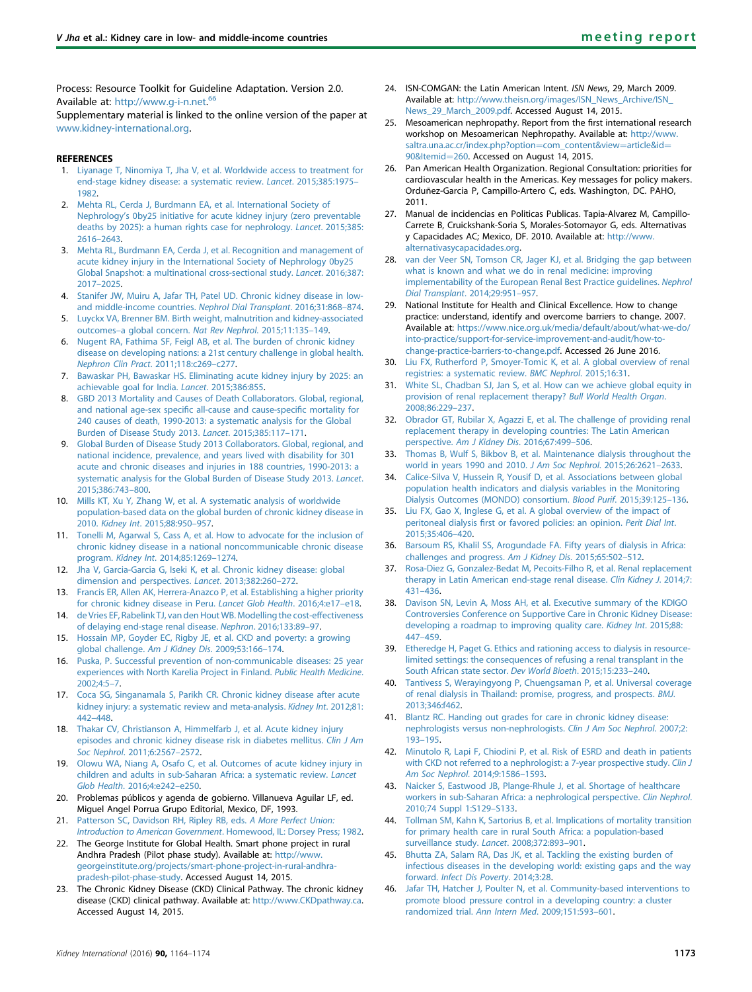<span id="page-9-0"></span>Process: Resource Toolkit for Guideline Adaptation. Version 2.0. Available at: [http://www.g-i-n.net.](http://www.g-i-n.net)<sup>[66](#page-10-0)</sup>

Supplementary material is linked to the online version of the paper at [www.kidney-international.org](http://www.kidney-international.org).

#### REFERENCES

- 1. [Liyanage T, Ninomiya T, Jha V, et al. Worldwide access to treatment for](http://refhub.elsevier.com/S0085-2538(16)30514-2/sref1) [end-stage kidney disease: a systematic review.](http://refhub.elsevier.com/S0085-2538(16)30514-2/sref1) Lancet. 2015;385:1975– [1982](http://refhub.elsevier.com/S0085-2538(16)30514-2/sref1).
- 2. [Mehta RL, Cerda J, Burdmann EA, et al. International Society of](http://refhub.elsevier.com/S0085-2538(16)30514-2/sref2) Nephrology'[s 0by25 initiative for acute kidney injury \(zero preventable](http://refhub.elsevier.com/S0085-2538(16)30514-2/sref2) [deaths by 2025\): a human rights case for nephrology.](http://refhub.elsevier.com/S0085-2538(16)30514-2/sref2) Lancet. 2015;385: [2616](http://refhub.elsevier.com/S0085-2538(16)30514-2/sref2)–2643.
- 3. [Mehta RL, Burdmann EA, Cerda J, et al. Recognition and management of](http://refhub.elsevier.com/S0085-2538(16)30514-2/sref3) [acute kidney injury in the International Society of Nephrology 0by25](http://refhub.elsevier.com/S0085-2538(16)30514-2/sref3) [Global Snapshot: a multinational cross-sectional study.](http://refhub.elsevier.com/S0085-2538(16)30514-2/sref3) Lancet. 2016;387: [2017](http://refhub.elsevier.com/S0085-2538(16)30514-2/sref3)–2025.
- 4. [Stanifer JW, Muiru A, Jafar TH, Patel UD. Chronic kidney disease in low](http://refhub.elsevier.com/S0085-2538(16)30514-2/sref4)[and middle-income countries.](http://refhub.elsevier.com/S0085-2538(16)30514-2/sref4) Nephrol Dial Transplant. 2016;31:868–874.
- 5. [Luyckx VA, Brenner BM. Birth weight, malnutrition and kidney-associated](http://refhub.elsevier.com/S0085-2538(16)30514-2/sref5) outcomes–[a global concern.](http://refhub.elsevier.com/S0085-2538(16)30514-2/sref5) Nat Rev Nephrol. 2015;11:135–149.
- 6. [Nugent RA, Fathima SF, Feigl AB, et al. The burden of chronic kidney](http://refhub.elsevier.com/S0085-2538(16)30514-2/sref6) [disease on developing nations: a 21st century challenge in global health.](http://refhub.elsevier.com/S0085-2538(16)30514-2/sref6) [Nephron Clin Pract](http://refhub.elsevier.com/S0085-2538(16)30514-2/sref6). 2011;118:c269–c277.
- 7. [Bawaskar PH, Bawaskar HS. Eliminating acute kidney injury by 2025: an](http://refhub.elsevier.com/S0085-2538(16)30514-2/sref7) [achievable goal for India.](http://refhub.elsevier.com/S0085-2538(16)30514-2/sref7) Lancet. 2015;386:855.
- 8. [GBD 2013 Mortality and Causes of Death Collaborators. Global, regional,](http://refhub.elsevier.com/S0085-2538(16)30514-2/sref8) and national age-sex specifi[c all-cause and cause-speci](http://refhub.elsevier.com/S0085-2538(16)30514-2/sref8)fic mortality for [240 causes of death, 1990-2013: a systematic analysis for the Global](http://refhub.elsevier.com/S0085-2538(16)30514-2/sref8) [Burden of Disease Study 2013.](http://refhub.elsevier.com/S0085-2538(16)30514-2/sref8) Lancet. 2015;385:117–171.
- 9. [Global Burden of Disease Study 2013 Collaborators. Global, regional, and](http://refhub.elsevier.com/S0085-2538(16)30514-2/sref9) [national incidence, prevalence, and years lived with disability for 301](http://refhub.elsevier.com/S0085-2538(16)30514-2/sref9) [acute and chronic diseases and injuries in 188 countries, 1990-2013: a](http://refhub.elsevier.com/S0085-2538(16)30514-2/sref9) [systematic analysis for the Global Burden of Disease Study 2013.](http://refhub.elsevier.com/S0085-2538(16)30514-2/sref9) Lancet. [2015;386:743](http://refhub.elsevier.com/S0085-2538(16)30514-2/sref9)–800.
- 10. [Mills KT, Xu Y, Zhang W, et al. A systematic analysis of worldwide](http://refhub.elsevier.com/S0085-2538(16)30514-2/sref10) [population-based data on the global burden of chronic kidney disease in](http://refhub.elsevier.com/S0085-2538(16)30514-2/sref10) 2010. Kidney Int[. 2015;88:950](http://refhub.elsevier.com/S0085-2538(16)30514-2/sref10)–957.
- [Tonelli M, Agarwal S, Cass A, et al. How to advocate for the inclusion of](http://refhub.elsevier.com/S0085-2538(16)30514-2/sref11) [chronic kidney disease in a national noncommunicable chronic disease](http://refhub.elsevier.com/S0085-2538(16)30514-2/sref11) program. Kidney Int[. 2014;85:1269](http://refhub.elsevier.com/S0085-2538(16)30514-2/sref11)–1274.
- 12. [Jha V, Garcia-Garcia G, Iseki K, et al. Chronic kidney disease: global](http://refhub.elsevier.com/S0085-2538(16)30514-2/sref12) [dimension and perspectives.](http://refhub.elsevier.com/S0085-2538(16)30514-2/sref12) Lancet. 2013;382:260–272.
- 13. [Francis ER, Allen AK, Herrera-Anazco P, et al. Establishing a higher priority](http://refhub.elsevier.com/S0085-2538(16)30514-2/sref13) [for chronic kidney disease in Peru.](http://refhub.elsevier.com/S0085-2538(16)30514-2/sref13) Lancet Glob Health. 2016;4:e17–e18.
- 14. [de Vries EF, Rabelink TJ, van den Hout WB. Modelling the cost-effectiveness](http://refhub.elsevier.com/S0085-2538(16)30514-2/sref14) [of delaying end-stage renal disease.](http://refhub.elsevier.com/S0085-2538(16)30514-2/sref14) Nephron. 2016;133:89–97.
- 15. [Hossain MP, Goyder EC, Rigby JE, et al. CKD and poverty: a growing](http://refhub.elsevier.com/S0085-2538(16)30514-2/sref15) [global challenge.](http://refhub.elsevier.com/S0085-2538(16)30514-2/sref15) Am J Kidney Dis. 2009;53:166–174.
- 16. [Puska, P. Successful prevention of non-communicable diseases: 25 year](http://refhub.elsevier.com/S0085-2538(16)30514-2/sref16) [experiences with North Karelia Project in Finland.](http://refhub.elsevier.com/S0085-2538(16)30514-2/sref16) Public Health Medicine. [2002;4:5](http://refhub.elsevier.com/S0085-2538(16)30514-2/sref16)–7.
- 17. [Coca SG, Singanamala S, Parikh CR. Chronic kidney disease after acute](http://refhub.elsevier.com/S0085-2538(16)30514-2/sref17) [kidney injury: a systematic review and meta-analysis.](http://refhub.elsevier.com/S0085-2538(16)30514-2/sref17) Kidney Int. 2012;81: [442](http://refhub.elsevier.com/S0085-2538(16)30514-2/sref17)–448.
- 18. [Thakar CV, Christianson A, Himmelfarb J, et al. Acute kidney injury](http://refhub.elsevier.com/S0085-2538(16)30514-2/sref18) [episodes and chronic kidney disease risk in diabetes mellitus.](http://refhub.elsevier.com/S0085-2538(16)30514-2/sref18) Clin J Am Soc Nephrol[. 2011;6:2567](http://refhub.elsevier.com/S0085-2538(16)30514-2/sref18)–2572.
- 19. [Olowu WA, Niang A, Osafo C, et al. Outcomes of acute kidney injury in](http://refhub.elsevier.com/S0085-2538(16)30514-2/sref19) [children and adults in sub-Saharan Africa: a systematic review.](http://refhub.elsevier.com/S0085-2538(16)30514-2/sref19) Lancet Glob Health[. 2016;4:e242](http://refhub.elsevier.com/S0085-2538(16)30514-2/sref19)–e250.
- 20. Problemas públicos y agenda de gobierno. Villanueva Aguilar LF, ed. Miguel Angel Porrua Grupo Editorial, Mexico, DF, 1993.
- 21. [Patterson SC, Davidson RH, Ripley RB, eds.](http://refhub.elsevier.com/S0085-2538(16)30514-2/sref21) A More Perfect Union: [Introduction to American Government](http://refhub.elsevier.com/S0085-2538(16)30514-2/sref21). Homewood, IL: Dorsey Press; 1982.
- 22. The George Institute for Global Health. Smart phone project in rural Andhra Pradesh (Pilot phase study). Available at: [http://www.](http://www.georgeinstitute.org/projects/smart-phone-project-in-rural-andhra-pradesh-pilot-phase-study) [georgeinstitute.org/projects/smart-phone-project-in-rural-andhra](http://www.georgeinstitute.org/projects/smart-phone-project-in-rural-andhra-pradesh-pilot-phase-study)[pradesh-pilot-phase-study.](http://www.georgeinstitute.org/projects/smart-phone-project-in-rural-andhra-pradesh-pilot-phase-study) Accessed August 14, 2015.
- 23. The Chronic Kidney Disease (CKD) Clinical Pathway. The chronic kidney disease (CKD) clinical pathway. Available at: [http://www.CKDpathway.ca.](http://www.CKDpathway.ca) Accessed August 14, 2015.
- 24. ISN-COMGAN: the Latin American Intent. ISN News, 29, March 2009. Available at: [http://www.theisn.org/images/ISN\\_News\\_Archive/ISN\\_](http://www.theisn.org/images/ISN_News_Archive/ISN_News_29_March_2009.pdf) [News\\_29\\_March\\_2009.pdf](http://www.theisn.org/images/ISN_News_Archive/ISN_News_29_March_2009.pdf). Accessed August 14, 2015.
- 25. Mesoamerican nephropathy. Report from the first international research workshop on Mesoamerican Nephropathy. Available at: [http://www.](http://www.saltra.una.ac.cr/index.php?option=com_content&view=article&id=90&Itemid=260) [saltra.una.ac.cr/index.php?option](http://www.saltra.una.ac.cr/index.php?option=com_content&view=article&id=90&Itemid=260)=[com\\_content&view](http://www.saltra.una.ac.cr/index.php?option=com_content&view=article&id=90&Itemid=260)=[article&id](http://www.saltra.una.ac.cr/index.php?option=com_content&view=article&id=90&Itemid=260)= [90&Itemid](http://www.saltra.una.ac.cr/index.php?option=com_content&view=article&id=90&Itemid=260)=[260.](http://www.saltra.una.ac.cr/index.php?option=com_content&view=article&id=90&Itemid=260) Accessed on August 14, 2015.
- 26. Pan American Health Organization. Regional Consultation: priorities for cardiovascular health in the Americas. Key messages for policy makers. Orduñez-Garcia P, Campillo-Artero C, eds. Washington, DC. PAHO, 2011.
- 27. Manual de incidencias en Politicas Publicas. Tapia-Alvarez M, Campillo-Carrete B, Cruickshank-Soria S, Morales-Sotomayor G, eds. Alternativas y Capacidades AC; Mexico, DF. 2010. Available at: [http://www.](http://www.alternativasycapacidades.org) [alternativasycapacidades.org](http://www.alternativasycapacidades.org).
- 28. [van der Veer SN, Tomson CR, Jager KJ, et al. Bridging the gap between](http://refhub.elsevier.com/S0085-2538(16)30514-2/sref28) [what is known and what we do in renal medicine: improving](http://refhub.elsevier.com/S0085-2538(16)30514-2/sref28) [implementability of the European Renal Best Practice guidelines.](http://refhub.elsevier.com/S0085-2538(16)30514-2/sref28) Nephrol [Dial Transplant](http://refhub.elsevier.com/S0085-2538(16)30514-2/sref28). 2014;29:951–957.
- 29. National Institute for Health and Clinical Excellence. How to change practice: understand, identify and overcome barriers to change. 2007. Available at: [https://www.nice.org.uk/media/default/about/what-we-do/](https://www.nice.org.uk/media/default/about/what-we-do/into-practice/support-for-service-improvement-and-audit/how-to-change-practice-barriers-to-change.pdf) [into-practice/support-for-service-improvement-and-audit/how-to](https://www.nice.org.uk/media/default/about/what-we-do/into-practice/support-for-service-improvement-and-audit/how-to-change-practice-barriers-to-change.pdf)[change-practice-barriers-to-change.pdf](https://www.nice.org.uk/media/default/about/what-we-do/into-practice/support-for-service-improvement-and-audit/how-to-change-practice-barriers-to-change.pdf). Accessed 26 June 2016.
- 30. [Liu FX, Rutherford P, Smoyer-Tomic K, et al. A global overview of renal](http://refhub.elsevier.com/S0085-2538(16)30514-2/sref30) [registries: a systematic review.](http://refhub.elsevier.com/S0085-2538(16)30514-2/sref30) BMC Nephrol. 2015;16:31.
- 31. [White SL, Chadban SJ, Jan S, et al. How can we achieve global equity in](http://refhub.elsevier.com/S0085-2538(16)30514-2/sref31) [provision of renal replacement therapy?](http://refhub.elsevier.com/S0085-2538(16)30514-2/sref31) Bull World Health Organ. [2008;86:229](http://refhub.elsevier.com/S0085-2538(16)30514-2/sref31)–237.
- 32. [Obrador GT, Rubilar X, Agazzi E, et al. The challenge of providing renal](http://refhub.elsevier.com/S0085-2538(16)30514-2/sref32) [replacement therapy in developing countries: The Latin American](http://refhub.elsevier.com/S0085-2538(16)30514-2/sref32) perspective. [Am J Kidney Dis](http://refhub.elsevier.com/S0085-2538(16)30514-2/sref32). 2016;67:499–506.
- 33. [Thomas B, Wulf S, Bikbov B, et al. Maintenance dialysis throughout the](http://refhub.elsevier.com/S0085-2538(16)30514-2/sref33) [world in years 1990 and 2010.](http://refhub.elsevier.com/S0085-2538(16)30514-2/sref33) J Am Soc Nephrol. 2015;26:2621–2633.
- 34. [Calice-Silva V, Hussein R, Yousif D, et al. Associations between global](http://refhub.elsevier.com/S0085-2538(16)30514-2/sref34) [population health indicators and dialysis variables in the Monitoring](http://refhub.elsevier.com/S0085-2538(16)30514-2/sref34) [Dialysis Outcomes \(MONDO\) consortium.](http://refhub.elsevier.com/S0085-2538(16)30514-2/sref34) Blood Purif. 2015;39:125–136.
- 35. [Liu FX, Gao X, Inglese G, et al. A global overview of the impact of](http://refhub.elsevier.com/S0085-2538(16)30514-2/sref35) peritoneal dialysis fi[rst or favored policies: an opinion.](http://refhub.elsevier.com/S0085-2538(16)30514-2/sref35) Perit Dial Int. [2015;35:406](http://refhub.elsevier.com/S0085-2538(16)30514-2/sref35)–420.
- 36. [Barsoum RS, Khalil SS, Arogundade FA. Fifty years of dialysis in Africa:](http://refhub.elsevier.com/S0085-2538(16)30514-2/sref36) [challenges and progress.](http://refhub.elsevier.com/S0085-2538(16)30514-2/sref36) Am J Kidney Dis. 2015;65:502–512.
- 37. [Rosa-Diez G, Gonzalez-Bedat M, Pecoits-Filho R, et al. Renal replacement](http://refhub.elsevier.com/S0085-2538(16)30514-2/sref37) [therapy in Latin American end-stage renal disease.](http://refhub.elsevier.com/S0085-2538(16)30514-2/sref37) Clin Kidney J. 2014;7: 431–[436](http://refhub.elsevier.com/S0085-2538(16)30514-2/sref37).
- 38. [Davison SN, Levin A, Moss AH, et al. Executive summary of the KDIGO](http://refhub.elsevier.com/S0085-2538(16)30514-2/sref38) [Controversies Conference on Supportive Care in Chronic Kidney Disease:](http://refhub.elsevier.com/S0085-2538(16)30514-2/sref38) [developing a roadmap to improving quality care.](http://refhub.elsevier.com/S0085-2538(16)30514-2/sref38) Kidney Int. 2015;88: 447–[459](http://refhub.elsevier.com/S0085-2538(16)30514-2/sref38).
- 39. [Etheredge H, Paget G. Ethics and rationing access to dialysis in resource](http://refhub.elsevier.com/S0085-2538(16)30514-2/sref39)[limited settings: the consequences of refusing a renal transplant in the](http://refhub.elsevier.com/S0085-2538(16)30514-2/sref39) [South African state sector.](http://refhub.elsevier.com/S0085-2538(16)30514-2/sref39) Dev World Bioeth. 2015;15:233–240.
- 40. [Tantivess S, Werayingyong P, Chuengsaman P, et al. Universal coverage](http://refhub.elsevier.com/S0085-2538(16)30514-2/sref40) [of renal dialysis in Thailand: promise, progress, and prospects.](http://refhub.elsevier.com/S0085-2538(16)30514-2/sref40) BMJ. [2013;346:f462.](http://refhub.elsevier.com/S0085-2538(16)30514-2/sref40)
- 41. [Blantz RC. Handing out grades for care in chronic kidney disease:](http://refhub.elsevier.com/S0085-2538(16)30514-2/sref41) [nephrologists versus non-nephrologists.](http://refhub.elsevier.com/S0085-2538(16)30514-2/sref41) Clin J Am Soc Nephrol. 2007;2: 193–[195](http://refhub.elsevier.com/S0085-2538(16)30514-2/sref41).
- 42. [Minutolo R, Lapi F, Chiodini P, et al. Risk of ESRD and death in patients](http://refhub.elsevier.com/S0085-2538(16)30514-2/sref42) [with CKD not referred to a nephrologist: a 7-year prospective study.](http://refhub.elsevier.com/S0085-2538(16)30514-2/sref42) Clin J [Am Soc Nephrol](http://refhub.elsevier.com/S0085-2538(16)30514-2/sref42). 2014;9:1586–1593.
- 43. [Naicker S, Eastwood JB, Plange-Rhule J, et al. Shortage of healthcare](http://refhub.elsevier.com/S0085-2538(16)30514-2/sref43) [workers in sub-Saharan Africa: a nephrological perspective.](http://refhub.elsevier.com/S0085-2538(16)30514-2/sref43) Clin Nephrol. [2010;74 Suppl 1:S129](http://refhub.elsevier.com/S0085-2538(16)30514-2/sref43)–S133.
- 44. [Tollman SM, Kahn K, Sartorius B, et al. Implications of mortality transition](http://refhub.elsevier.com/S0085-2538(16)30514-2/sref44) [for primary health care in rural South Africa: a population-based](http://refhub.elsevier.com/S0085-2538(16)30514-2/sref44) [surveillance study.](http://refhub.elsevier.com/S0085-2538(16)30514-2/sref44) Lancet. 2008;372:893–901.
- 45. [Bhutta ZA, Salam RA, Das JK, et al. Tackling the existing burden of](http://refhub.elsevier.com/S0085-2538(16)30514-2/sref45) [infectious diseases in the developing world: existing gaps and the way](http://refhub.elsevier.com/S0085-2538(16)30514-2/sref45) forward. [Infect Dis Poverty](http://refhub.elsevier.com/S0085-2538(16)30514-2/sref45). 2014;3:28.
- 46. [Jafar TH, Hatcher J, Poulter N, et al. Community-based interventions to](http://refhub.elsevier.com/S0085-2538(16)30514-2/sref46) [promote blood pressure control in a developing country: a cluster](http://refhub.elsevier.com/S0085-2538(16)30514-2/sref46) [randomized trial.](http://refhub.elsevier.com/S0085-2538(16)30514-2/sref46) Ann Intern Med. 2009;151:593–601.